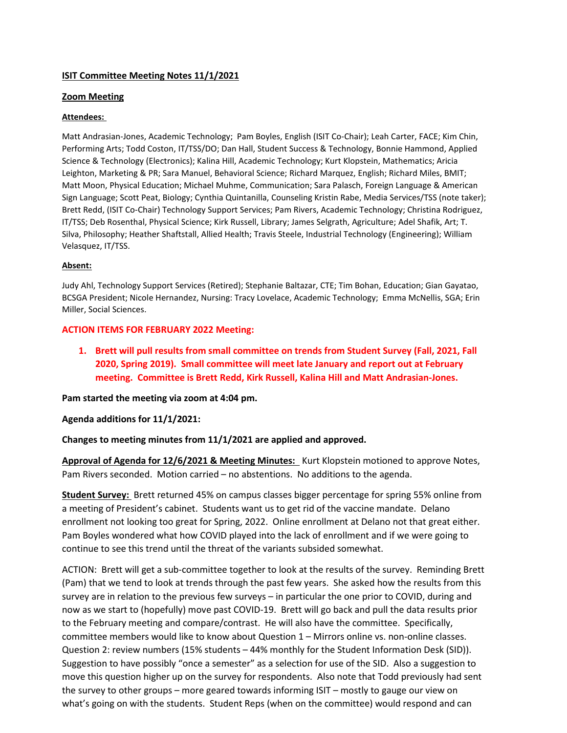## **ISIT Committee Meeting Notes 11/1/2021**

## **Zoom Meeting**

### **Attendees:**

Matt Andrasian-Jones, Academic Technology; Pam Boyles, English (ISIT Co-Chair); Leah Carter, FACE; Kim Chin, Performing Arts; Todd Coston, IT/TSS/DO; Dan Hall, Student Success & Technology, Bonnie Hammond, Applied Science & Technology (Electronics); Kalina Hill, Academic Technology; Kurt Klopstein, Mathematics; Aricia Leighton, Marketing & PR; Sara Manuel, Behavioral Science; Richard Marquez, English; Richard Miles, BMIT; Matt Moon, Physical Education; Michael Muhme, Communication; Sara Palasch, Foreign Language & American Sign Language; Scott Peat, Biology; Cynthia Quintanilla, Counseling Kristin Rabe, Media Services/TSS (note taker); Brett Redd, (ISIT Co-Chair) Technology Support Services; Pam Rivers, Academic Technology; Christina Rodriguez, IT/TSS; Deb Rosenthal, Physical Science; Kirk Russell, Library; James Selgrath, Agriculture; Adel Shafik, Art; T. Silva, Philosophy; Heather Shaftstall, Allied Health; Travis Steele, Industrial Technology (Engineering); William Velasquez, IT/TSS.

### **Absent:**

Judy Ahl, Technology Support Services (Retired); Stephanie Baltazar, CTE; Tim Bohan, Education; Gian Gayatao, BCSGA President; Nicole Hernandez, Nursing: Tracy Lovelace, Academic Technology; Emma McNellis, SGA; Erin Miller, Social Sciences.

# **ACTION ITEMS FOR FEBRUARY 2022 Meeting:**

**1. Brett will pull results from small committee on trends from Student Survey (Fall, 2021, Fall 2020, Spring 2019). Small committee will meet late January and report out at February meeting. Committee is Brett Redd, Kirk Russell, Kalina Hill and Matt Andrasian-Jones.** 

### **Pam started the meeting via zoom at 4:04 pm.**

# **Agenda additions for 11/1/2021:**

### **Changes to meeting minutes from 11/1/2021 are applied and approved.**

**Approval of Agenda for 12/6/2021 & Meeting Minutes:** Kurt Klopstein motioned to approve Notes, Pam Rivers seconded. Motion carried – no abstentions. No additions to the agenda.

**Student Survey:** Brett returned 45% on campus classes bigger percentage for spring 55% online from a meeting of President's cabinet. Students want us to get rid of the vaccine mandate. Delano enrollment not looking too great for Spring, 2022. Online enrollment at Delano not that great either. Pam Boyles wondered what how COVID played into the lack of enrollment and if we were going to continue to see this trend until the threat of the variants subsided somewhat.

ACTION: Brett will get a sub-committee together to look at the results of the survey. Reminding Brett (Pam) that we tend to look at trends through the past few years. She asked how the results from this survey are in relation to the previous few surveys – in particular the one prior to COVID, during and now as we start to (hopefully) move past COVID-19. Brett will go back and pull the data results prior to the February meeting and compare/contrast. He will also have the committee. Specifically, committee members would like to know about Question 1 – Mirrors online vs. non-online classes. Question 2: review numbers (15% students – 44% monthly for the Student Information Desk (SID)). Suggestion to have possibly "once a semester" as a selection for use of the SID. Also a suggestion to move this question higher up on the survey for respondents. Also note that Todd previously had sent the survey to other groups – more geared towards informing ISIT – mostly to gauge our view on what's going on with the students. Student Reps (when on the committee) would respond and can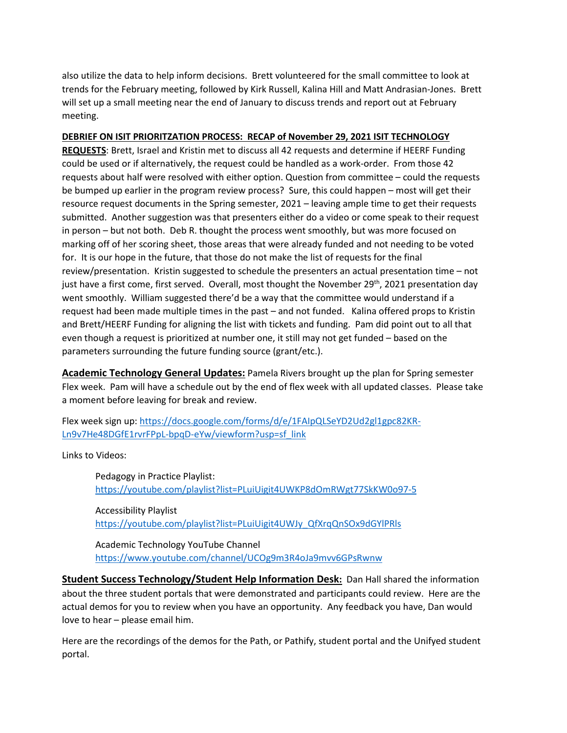also utilize the data to help inform decisions. Brett volunteered for the small committee to look at trends for the February meeting, followed by Kirk Russell, Kalina Hill and Matt Andrasian-Jones. Brett will set up a small meeting near the end of January to discuss trends and report out at February meeting.

#### **DEBRIEF ON ISIT PRIORITZATION PROCESS: RECAP of November 29, 2021 ISIT TECHNOLOGY**

**REQUESTS**: Brett, Israel and Kristin met to discuss all 42 requests and determine if HEERF Funding could be used or if alternatively, the request could be handled as a work-order. From those 42 requests about half were resolved with either option. Question from committee – could the requests be bumped up earlier in the program review process? Sure, this could happen – most will get their resource request documents in the Spring semester, 2021 – leaving ample time to get their requests submitted. Another suggestion was that presenters either do a video or come speak to their request in person – but not both. Deb R. thought the process went smoothly, but was more focused on marking off of her scoring sheet, those areas that were already funded and not needing to be voted for. It is our hope in the future, that those do not make the list of requests for the final review/presentation. Kristin suggested to schedule the presenters an actual presentation time – not just have a first come, first served. Overall, most thought the November 29<sup>th</sup>, 2021 presentation day went smoothly. William suggested there'd be a way that the committee would understand if a request had been made multiple times in the past – and not funded. Kalina offered props to Kristin and Brett/HEERF Funding for aligning the list with tickets and funding. Pam did point out to all that even though a request is prioritized at number one, it still may not get funded – based on the parameters surrounding the future funding source (grant/etc.).

**Academic Technology General Updates:** Pamela Rivers brought up the plan for Spring semester Flex week. Pam will have a schedule out by the end of flex week with all updated classes. Please take a moment before leaving for break and review.

Flex week sign up: [https://docs.google.com/forms/d/e/1FAIpQLSeYD2Ud2gl1gpc82KR-](https://docs.google.com/forms/d/e/1FAIpQLSeYD2Ud2gl1gpc82KR-Ln9v7He48DGfE1rvrFPpL-bpqD-eYw/viewform?usp=sf_link)[Ln9v7He48DGfE1rvrFPpL-bpqD-eYw/viewform?usp=sf\\_link](https://docs.google.com/forms/d/e/1FAIpQLSeYD2Ud2gl1gpc82KR-Ln9v7He48DGfE1rvrFPpL-bpqD-eYw/viewform?usp=sf_link)

Links to Videos:

Pedagogy in Practice Playlist: <https://youtube.com/playlist?list=PLuiUigit4UWKP8dOmRWgt77SkKW0o97-5>

Accessibility Playlist [https://youtube.com/playlist?list=PLuiUigit4UWJy\\_QfXrqQnSOx9dGYlPRls](https://youtube.com/playlist?list=PLuiUigit4UWJy_QfXrqQnSOx9dGYlPRls)

Academic Technology YouTube Channel <https://www.youtube.com/channel/UCOg9m3R4oJa9mvv6GPsRwnw>

**Student Success Technology/Student Help Information Desk:** Dan Hall shared the information about the three student portals that were demonstrated and participants could review. Here are the actual demos for you to review when you have an opportunity. Any feedback you have, Dan would love to hear – please email him.

Here are the recordings of the demos for the Path, or Pathify, student portal and the Unifyed student portal.